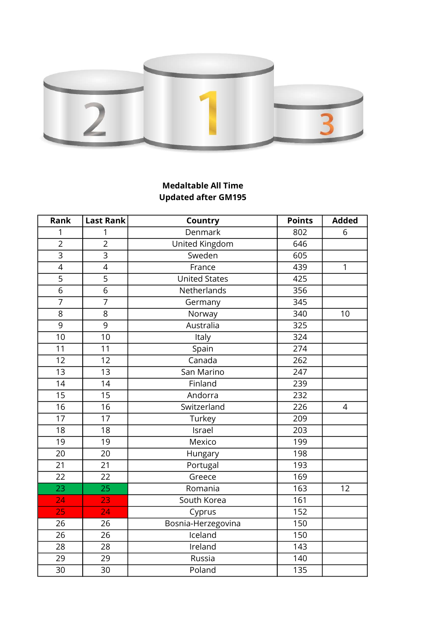

## Medaltable All Time Updated after GM195

| Rank            | <b>Last Rank</b>         | Country              | <b>Points</b>    | <b>Added</b>   |
|-----------------|--------------------------|----------------------|------------------|----------------|
| 1               | 1                        | Denmark              | 802              | 6              |
| $\overline{2}$  | $\overline{2}$           | United Kingdom       | 646              |                |
| $\overline{3}$  | $\overline{3}$           | Sweden               | $\overline{605}$ |                |
| $\overline{4}$  | $\overline{\mathcal{A}}$ | France               | 439              | $\mathbf{1}$   |
| $\overline{5}$  | $\overline{5}$           | <b>United States</b> | 425              |                |
| $\overline{6}$  | $\overline{6}$           | Netherlands          | 356              |                |
| $\overline{7}$  | $\overline{7}$           | Germany              | 345              |                |
| 8               | 8                        | Norway               | 340              | 10             |
| $\overline{9}$  | $\overline{9}$           | Australia            | 325              |                |
| 10              | $\overline{10}$          | Italy                | 324              |                |
| 11              | 11                       | Spain                | 274              |                |
| 12              | 12                       | Canada               | 262              |                |
| $\overline{13}$ | $\overline{13}$          | San Marino           | 247              |                |
| 14              | 14                       | Finland              | 239              |                |
| $\overline{15}$ | $\overline{15}$          | Andorra              | 232              |                |
| $\overline{16}$ | $\overline{16}$          | Switzerland          | 226              | $\overline{4}$ |
| 17              | 17                       | Turkey               | 209              |                |
| $\overline{18}$ | $\overline{18}$          | Israel               | 203              |                |
| 19              | 19                       | Mexico               | 199              |                |
| 20              | 20                       | Hungary              | 198              |                |
| 21              | 21                       | Portugal             | 193              |                |
| $\overline{22}$ | $\overline{22}$          | Greece               | 169              |                |
| $\overline{23}$ | $\overline{25}$          | Romania              | 163              | 12             |
| 24              | 23                       | South Korea          | 161              |                |
| 25              | 24                       | Cyprus               | 152              |                |
| 26              | 26                       | Bosnia-Herzegovina   | 150              |                |
| 26              | 26                       | Iceland              | 150              |                |
| 28              | 28                       | Ireland              | 143              |                |
| 29              | 29                       | Russia               | 140              |                |
| 30              | 30                       | Poland               | 135              |                |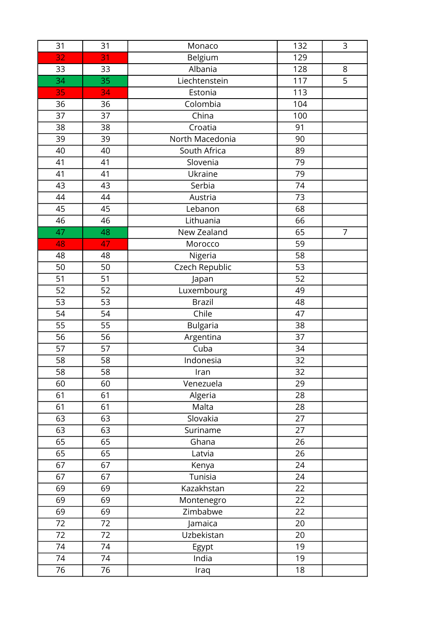| 31 | 31 | Monaco                | 132             | 3              |
|----|----|-----------------------|-----------------|----------------|
| 32 | 31 | Belgium               | 129             |                |
| 33 | 33 | Albania               | 128             | 8              |
| 34 | 35 | Liechtenstein         | 117             | $\overline{5}$ |
| 35 | 34 | Estonia               | 113             |                |
| 36 | 36 | Colombia              | 104             |                |
| 37 | 37 | China                 | 100             |                |
| 38 | 38 | Croatia               | 91              |                |
| 39 | 39 | North Macedonia       | 90              |                |
| 40 | 40 | South Africa          | 89              |                |
| 41 | 41 | Slovenia              | 79              |                |
| 41 | 41 | Ukraine               | 79              |                |
| 43 | 43 | Serbia                | 74              |                |
| 44 | 44 | Austria               | 73              |                |
| 45 | 45 | Lebanon               | 68              |                |
| 46 | 46 | Lithuania             | 66              |                |
| 47 | 48 | New Zealand           | 65              | $\overline{7}$ |
| 48 | 47 | Morocco               | 59              |                |
| 48 | 48 | Nigeria               | 58              |                |
| 50 | 50 | <b>Czech Republic</b> | 53              |                |
| 51 | 51 | Japan                 | 52              |                |
| 52 | 52 | Luxembourg            | 49              |                |
| 53 | 53 | <b>Brazil</b>         | 48              |                |
| 54 | 54 | Chile                 | 47              |                |
| 55 | 55 | <b>Bulgaria</b>       | 38              |                |
| 56 | 56 | Argentina             | 37              |                |
| 57 | 57 | Cuba                  | 34              |                |
| 58 | 58 | Indonesia             | 32              |                |
| 58 | 58 | Iran                  | 32              |                |
| 60 | 60 | Venezuela             | 29              |                |
| 61 | 61 | Algeria               | 28              |                |
| 61 | 61 | Malta                 | 28              |                |
| 63 | 63 | Slovakia              | $\overline{27}$ |                |
| 63 | 63 | Suriname              | $\overline{27}$ |                |
| 65 | 65 | Ghana                 | 26              |                |
| 65 | 65 | Latvia                | 26              |                |
| 67 | 67 | Kenya                 | 24              |                |
| 67 | 67 | Tunisia               | 24              |                |
| 69 | 69 | Kazakhstan            | 22              |                |
| 69 | 69 | Montenegro            | 22              |                |
| 69 | 69 | Zimbabwe              | 22              |                |
| 72 | 72 | Jamaica               | 20              |                |
| 72 | 72 | Uzbekistan            | 20              |                |
| 74 | 74 | Egypt                 | 19              |                |
| 74 | 74 | India                 | 19              |                |
| 76 | 76 | Iraq                  | 18              |                |